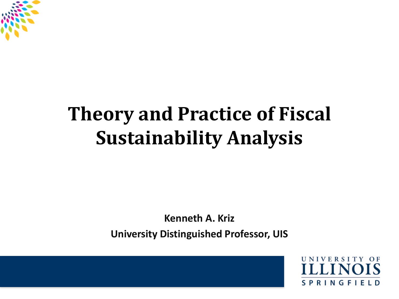

#### **Theory and Practice of Fiscal Sustainability Analysis**

**Kenneth A. Kriz**

**University Distinguished Professor, UIS**

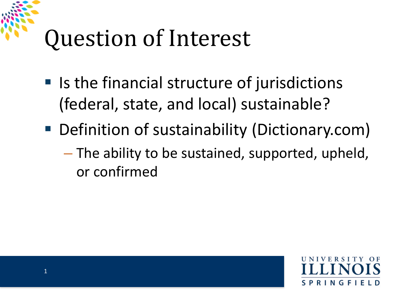### Question of Interest

- $\blacksquare$  Is the financial structure of jurisdictions (federal, state, and local) sustainable?
- Definition of sustainability (Dictionary.com)
	- The ability to be sustained, supported, upheld, or confirmed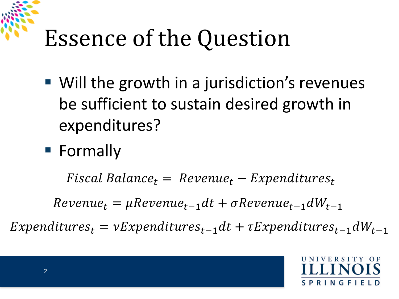### Essence of the Question

- Will the growth in a jurisdiction's revenues be sufficient to sustain desired growth in expenditures?
- Formally

 $Fiscal Balance_t = Revenue_t - Expenditures_t$ 

 $Revenue_t = \mu Revenue_{t-1}dt + \sigma Revenue_{t-1}dW_{t-1}$ 

 $Expenditures_t = vExpenditures_{t-1}dt + \tau Expenditures_{t-1}dW_{t-1}$ 

S P R I N G F I E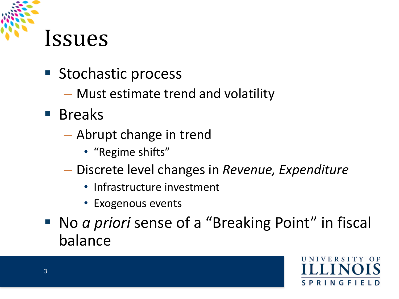

- **Stochastic process** 
	- Must estimate trend and volatility
- **Breaks** 
	- Abrupt change in trend
		- "Regime shifts"
	- Discrete level changes in *Revenue, Expenditure*
		- Infrastructure investment
		- Exogenous events
- No *a priori* sense of a "Breaking Point" in fiscal balance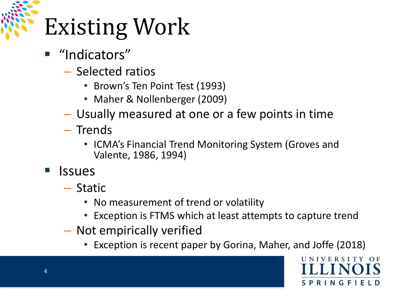# Existing Work

- "Indicators"
	- Selected ratios
		- Brown's Ten Point Test (1993)
		- Maher & Nollenberger (2009)
	- Usually measured at one or a few points in time
	- Trends
		- ICMA's Financial Trend Monitoring System (Groves and Valente, 1986, 1994)
- **Issues** 
	- Static
		- No measurement of trend or volatility
		- Exception is FTMS which at least attempts to capture trend
	- Not empirically verified
		- Exception is recent paper by Gorina, Maher, and Joffe (2018)

S P R I N G F I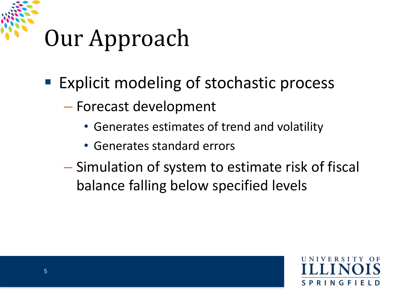### Our Approach

- Explicit modeling of stochastic process
	- Forecast development
		- Generates estimates of trend and volatility
		- Generates standard errors
	- Simulation of system to estimate risk of fiscal balance falling below specified levels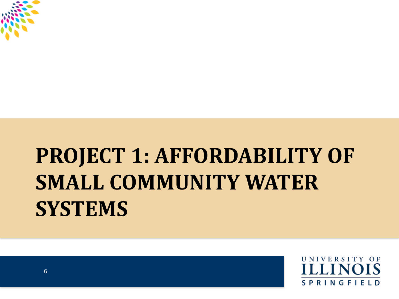

### **PROJECT 1: AFFORDABILITY OF SMALL COMMUNITY WATER SYSTEMS**

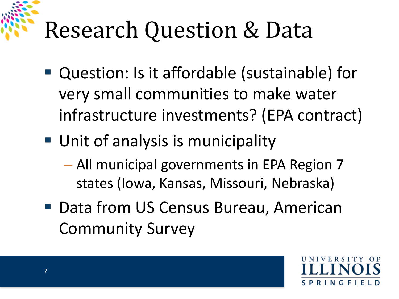# Research Question & Data

- Question: Is it affordable (sustainable) for very small communities to make water infrastructure investments? (EPA contract)
- **Unit of analysis is municipality** 
	- All municipal governments in EPA Region 7 states (Iowa, Kansas, Missouri, Nebraska)
- Data from US Census Bureau, American Community Survey

INGF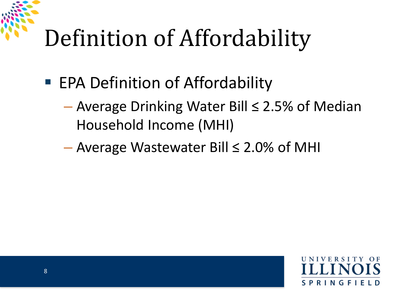### Definition of Affordability

- EPA Definition of Affordability
	- Average Drinking Water Bill ≤ 2.5% of Median Household Income (MHI)
	- Average Wastewater Bill ≤ 2.0% of MHI

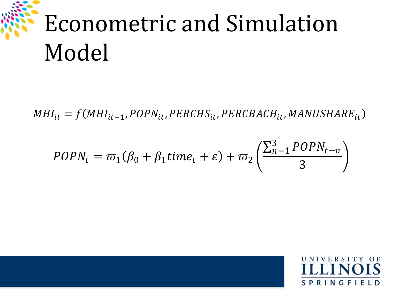# Econometric and Simulation Model

 $MHI_{it} = f(MHI_{it-1}, POPN_{it}, PERCHS_{it}, PERCBACH_{it}, MANUSHARE_{it})$ 

$$
POPN_t = \varpi_1(\beta_0 + \beta_1 time_t + \varepsilon) + \varpi_2\left(\frac{\sum_{n=1}^3 POPN_{t-n}}{3}\right)
$$

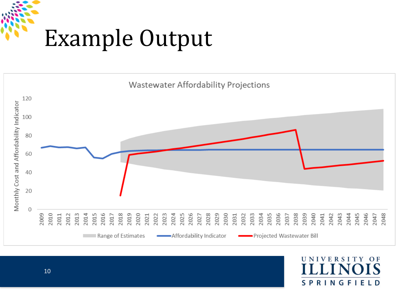# Example Output



N I **VERSITY**  $O<sub>F</sub>$ **SPRINGFIELD**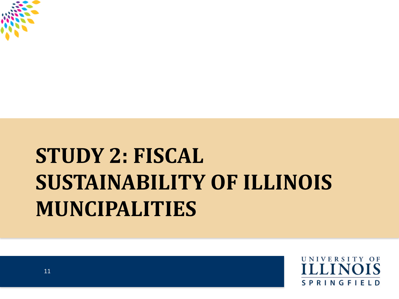

### **STUDY 2: FISCAL SUSTAINABILITY OF ILLINOIS MUNCIPALITIES**

UNIVERSITY OF **SPRINGFIELD**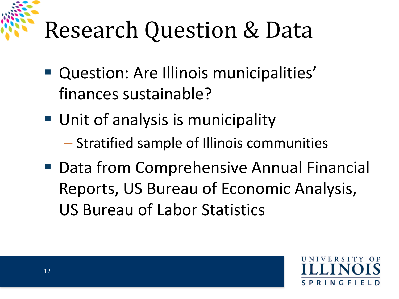# Research Question & Data

- **Question: Are Illinois municipalities'** finances sustainable?
- **Unit of analysis is municipality** 
	- Stratified sample of Illinois communities
- Data from Comprehensive Annual Financial Reports, US Bureau of Economic Analysis, US Bureau of Labor Statistics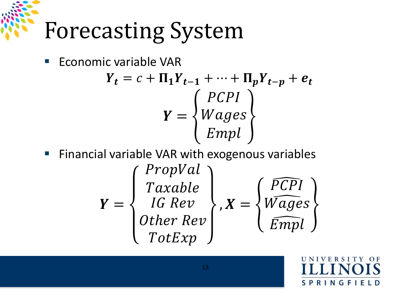# Forecasting System

**Economic variable VAR** 

$$
Y_{t} = c + \Pi_{1}Y_{t-1} + \dots + \Pi_{p}Y_{t-p} + e_{t}
$$

$$
Y = \begin{Bmatrix} PCPI \\ Wages \\ Empl \end{Bmatrix}
$$

**Financial variable VAR with exogenous variables** 

$$
Y = \begin{Bmatrix} \text{PropVal} \\ \text{Taxable} \\ \text{IG Rev} \\ \text{Other Rev} \\ \text{TotExp} \end{Bmatrix}, X = \begin{Bmatrix} \widehat{PCPI} \\ \widehat{Wages} \\ \widehat{Empl} \end{Bmatrix}
$$

 $O<sub>F</sub>$ **SPRINGFIELD**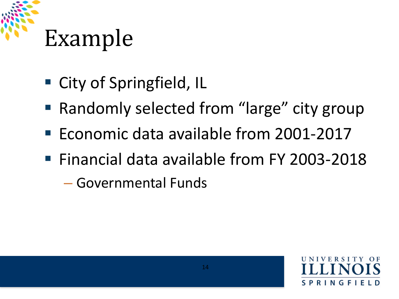# Example

- City of Springfield, IL
- Randomly selected from "large" city group
- Economic data available from 2001-2017
- Financial data available from FY 2003-2018

– Governmental Funds

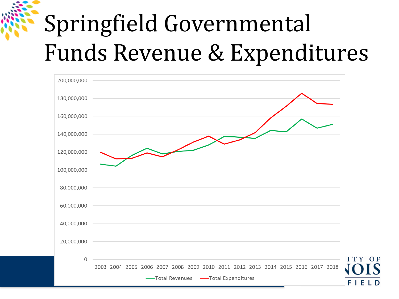### Springfield Governmental Funds Revenue & Expenditures

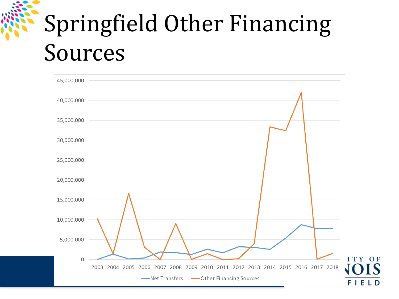### Springfield Other Financing Sources

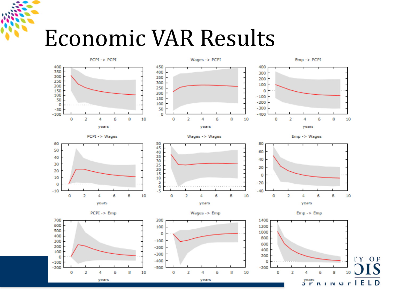#### Economic VAR Results

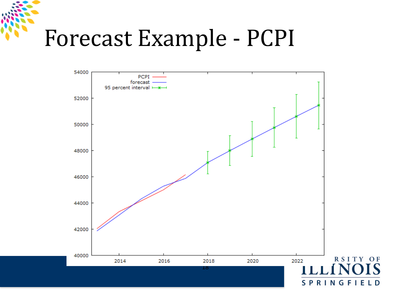### Forecast Example - PCPI

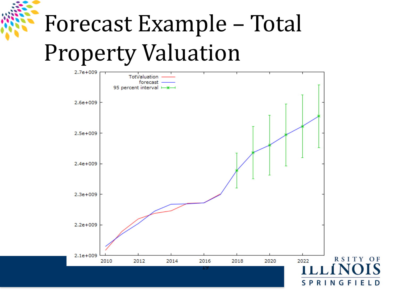# Forecast Example – Total Property Valuation

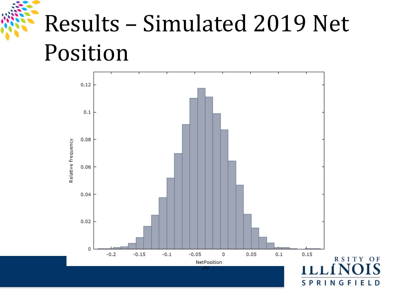### Results – Simulated 2019 Net Position

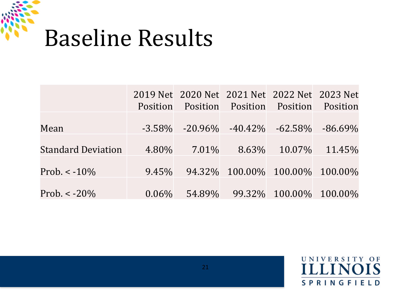

|                           | <b>Position</b> | 2019 Net 2020 Net 2021 Net 2022 Net 2023 Net | <b>Position Position Position</b> |        | Position   |
|---------------------------|-----------------|----------------------------------------------|-----------------------------------|--------|------------|
| Mean                      |                 | $-3.58\%$ $-20.96\%$ $-40.42\%$ $-62.58\%$   |                                   |        | $-86.69\%$ |
| <b>Standard Deviation</b> | 4.80%           | $7.01\%$                                     | 8.63%                             | 10.07% | 11.45%     |
| Prob. $\lt$ -10%          | $9.45\%$        |                                              | 94.32% 100.00% 100.00% 100.00%    |        |            |
| Prob. $< -20\%$           | $0.06\%$        |                                              | 54.89% 99.32% 100.00% 100.00%     |        |            |

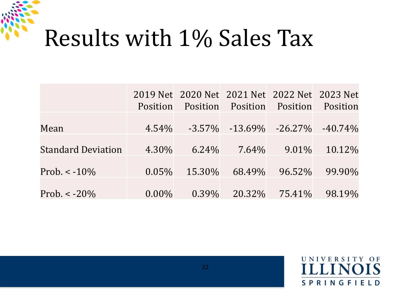### Results with 1% Sales Tax

|                           | <b>Position</b> | Position | 2019 Net 2020 Net 2021 Net 2022 Net 2023 Net | Position Position | Position   |
|---------------------------|-----------------|----------|----------------------------------------------|-------------------|------------|
| Mean                      | 4.54%           |          | $-3.57\%$ $-13.69\%$ $-26.27\%$              |                   | $-40.74\%$ |
| <b>Standard Deviation</b> | 4.30%           | $6.24\%$ | $7.64\%$                                     | $9.01\%$          | 10.12\%    |
| Prob. $\lt$ -10%          | $0.05\%$        | 15.30%   | 68.49%                                       | 96.52%            | 99.90%     |
| Prob. $< -20\%$           | $0.00\%$        | $0.39\%$ | 20.32\%                                      | 75.41%            | 98.19%     |